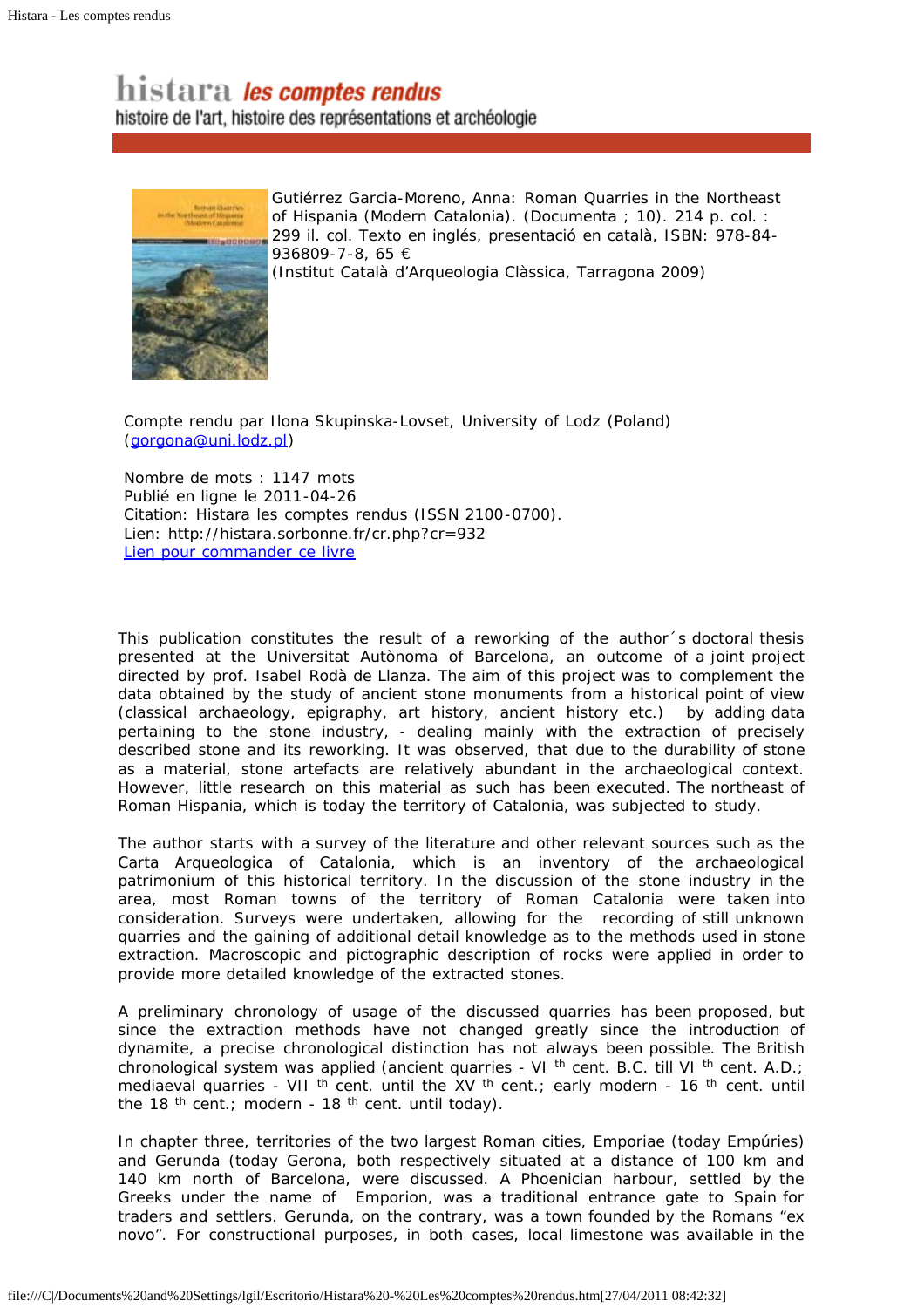## histara les comptes rendus

histoire de l'art, histoire des représentations et archéologie



Gutiérrez Garcia-Moreno, Anna: Roman Quarries in the Northeast of Hispania (Modern Catalonia). (Documenta ; 10). 214 p. col. : 299 il. col. Texto en inglés, presentació en català, ISBN: 978-84- 936809-7-8, 65 €

(Institut Català d'Arqueologia Clàssica, Tarragona 2009)

*Compte rendu par Ilona Skupinska-Lovset, University of Lodz (Poland) [\(gorgona@uni.lodz.pl](mailto:gorgona@uni.lodz.pl?subject=Histara-Les%20comptes%20rendus))*

Nombre de mots : 1147 mots Publié en ligne le 2011-04-26 Citation: Histara les comptes rendus (ISSN 2100-0700). Lien: http://histara.sorbonne.fr/cr.php?cr=932 [Lien pour commander ce livre](http://www.icac.net/index.php?option=com_content&view=article&id=192%3Aroman-quarries-in-the-northeast-of-hispania-modern-catalonia&catid=21%3Adocumenta&Itemid=18&lang=ca)

This publication constitutes the result of a reworking of the author´s doctoral thesis presented at the Universitat Autònoma of Barcelona, an outcome of a joint project directed by prof. Isabel Rodà de Llanza. The aim of this project was to complement the data obtained by the study of ancient stone monuments from a historical point of view (classical archaeology, epigraphy, art history, ancient history etc.) by adding data pertaining to the stone industry, - dealing mainly with the extraction of precisely described stone and its reworking. It was observed, that due to the durability of stone as a material, stone artefacts are relatively abundant in the archaeological context. However, little research on this material as such has been executed. The northeast of Roman Hispania, which is today the territory of Catalonia, was subjected to study.

The author starts with a survey of the literature and other relevant sources such as the *Carta Arqueologica of Catalonia*, which is an inventory of the archaeological patrimonium of this historical territory. In the discussion of the stone industry in the area, most Roman towns of the territory of Roman Catalonia were taken into consideration. Surveys were undertaken, allowing for the recording of still unknown quarries and the gaining of additional detail knowledge as to the methods used in stone extraction. Macroscopic and pictographic description of rocks were applied in order to provide more detailed knowledge of the extracted stones.

A preliminary chronology of usage of the discussed quarries has been proposed, but since the extraction methods have not changed greatly since the introduction of dynamite, a precise chronological distinction has not always been possible. The British chronological system was applied (ancient quarries - VI <sup>th</sup> cent. B.C. till VI <sup>th</sup> cent. A.D.; mediaeval quarries - VII <sup>th</sup> cent. until the XV <sup>th</sup> cent.; early modern - 16 <sup>th</sup> cent. until the 18<sup>th</sup> cent.; modern - 18<sup>th</sup> cent. until today).

In chapter three, territories of the two largest Roman cities, Emporiae (today Empúries) and Gerunda (today Gerona, both respectively situated at a distance of 100 km and 140 km north of Barcelona, were discussed. A Phoenician harbour, settled by the Greeks under the name of Emporion, was a traditional entrance gate to Spain for traders and settlers. Gerunda, on the contrary, was a town founded by the Romans "ex novo". For constructional purposes, in both cases, local limestone was available in the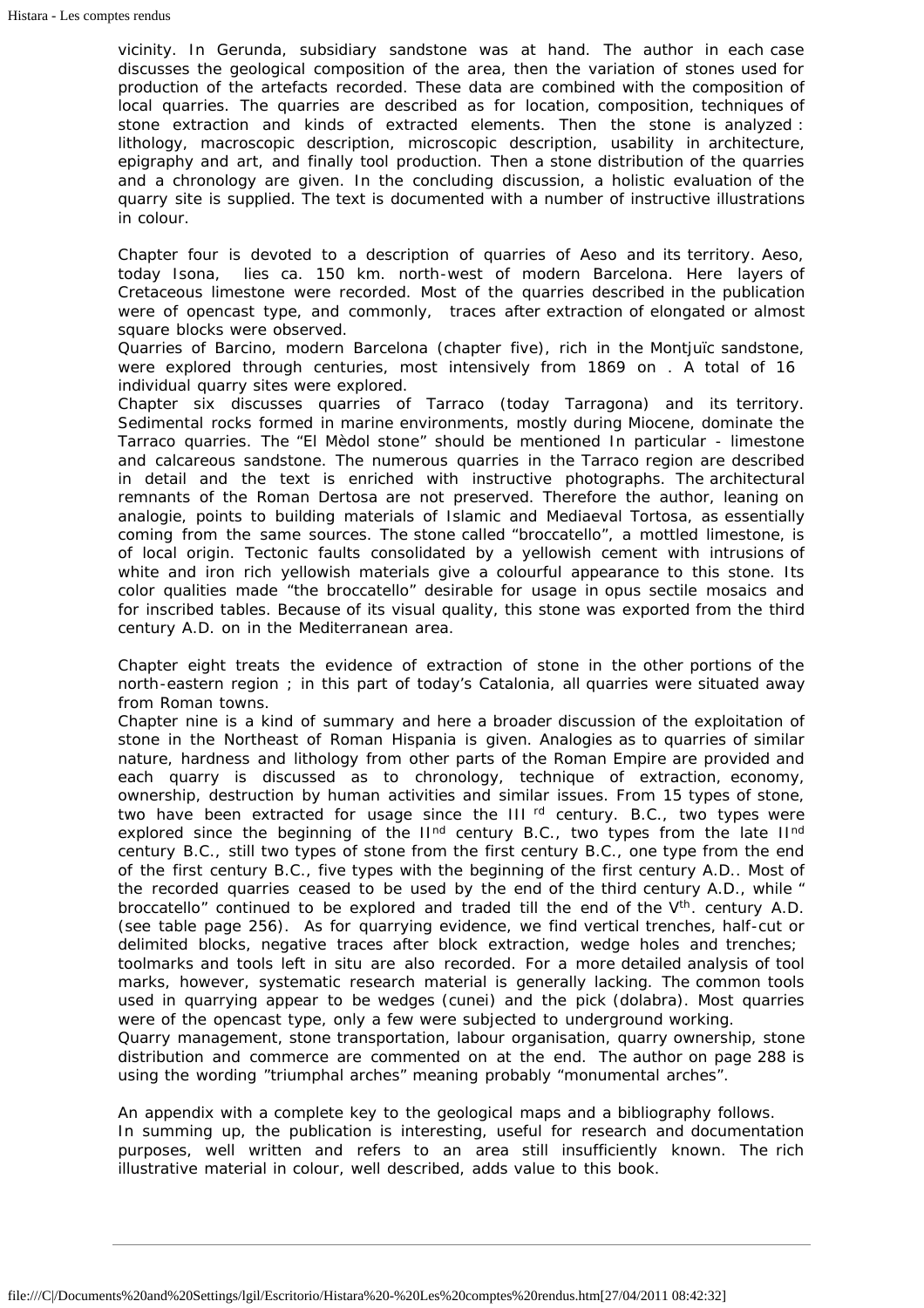vicinity. In Gerunda, subsidiary sandstone was at hand. The author in each case discusses the geological composition of the area, then the variation of stones used for production of the artefacts recorded. These data are combined with the composition of local quarries. The quarries are described as for location, composition, techniques of stone extraction and kinds of extracted elements. Then the stone is analyzed : lithology, macroscopic description, microscopic description, usability in architecture, epigraphy and art, and finally tool production. Then a stone distribution of the quarries and a chronology are given. In the concluding discussion, a holistic evaluation of the quarry site is supplied. The text is documented with a number of instructive illustrations in colour.

Chapter four is devoted to a description of quarries of Aeso and its territory. Aeso, today Isona, lies ca. 150 km. north-west of modern Barcelona. Here layers of Cretaceous limestone were recorded. Most of the quarries described in the publication were of opencast type, and commonly, traces after extraction of elongated or almost square blocks were observed.

Quarries of Barcino, modern Barcelona (chapter five), rich in the Montjuïc sandstone, were explored through centuries, most intensively from 1869 on . A total of 16 individual quarry sites were explored.

Chapter six discusses quarries of Tarraco (today Tarragona) and its territory. Sedimental rocks formed in marine environments, mostly during Miocene, dominate the Tarraco quarries. The "*El Mèdol stone*" should be mentioned In particular - limestone and calcareous sandstone. The numerous quarries in the Tarraco region are described in detail and the text is enriched with instructive photographs. The architectural remnants of the Roman Dertosa are not preserved. Therefore the author, leaning on analogie, points to building materials of Islamic and Mediaeval Tortosa, as essentially coming from the same sources. The stone called "*broccatello*", a mottled limestone, is of local origin. Tectonic faults consolidated by a yellowish cement with intrusions of white and iron rich yellowish materials give a colourful appearance to this stone. Its color qualities made "the *broccatello*" desirable for usage in *opus sectile* mosaics and for inscribed tables. Because of its visual quality, this stone was exported from the third century A.D. on in the Mediterranean area.

Chapter eight treats the evidence of extraction of stone in the other portions of the north-eastern region ; in this part of today's Catalonia, all quarries were situated away from Roman towns.

Chapter nine is a kind of summary and here a broader discussion of the exploitation of stone in the Northeast of Roman Hispania is given. Analogies as to quarries of similar nature, hardness and lithology from other parts of the Roman Empire are provided and each quarry is discussed as to chronology, technique of extraction, economy, ownership, destruction by human activities and similar issues. From 15 types of stone, two have been extracted for usage since the  $III$ <sup>rd</sup> century. B.C., two types were explored since the beginning of the II<sup>nd</sup> century B.C., two types from the late II<sup>nd</sup> century B.C., still two types of stone from the first century B.C., one type from the end of the first century B.C., five types with the beginning of the first century A.D.. Most of the recorded quarries ceased to be used by the end of the third century A.D., while " *broccatello*" continued to be explored and traded till the end of the V<sup>th</sup>. century A.D. (see table page 256). As for quarrying evidence, we find vertical trenches, half-cut or delimited blocks, negative traces after block extraction, wedge holes and trenches; toolmarks and tools left *in situ* are also recorded. For a more detailed analysis of tool marks, however, systematic research material is generally lacking. The common tools used in quarrying appear to be wedges (*cunei*) and the pick (*dolabra*). Most quarries were of the opencast type, only a few were subjected to underground working. Quarry management, stone transportation, labour organisation, quarry ownership, stone distribution and commerce are commented on at the end. The author on page 288 is using the wording "triumphal arches" meaning probably "monumental arches".

An appendix with a complete key to the geological maps and a bibliography follows. In summing up, the publication is interesting, useful for research and documentation purposes, well written and refers to an area still insufficiently known. The rich illustrative material in colour, well described, adds value to this book.